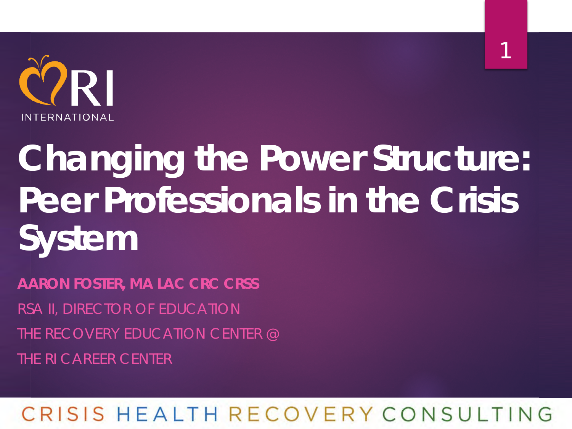

1

# *Changing the Power Structure: Peer Professionals in the Crisis System*

*AARON FOSTER, MA LAC CRC CRSS* RSA II, DIRECTOR OF EDUCATION THE RECOVERY EDUCATION CENTER @ THE RI CAREER CENTER

### RISIS HEALTH RECOVERY CONSULTING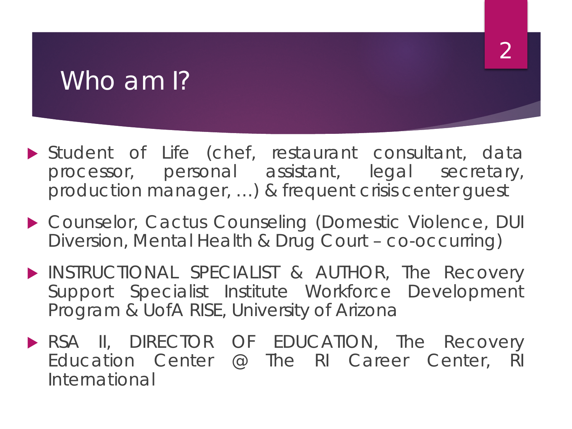### Who am 1?

 Student of Life (chef, restaurant consultant, data processor, personal assistant, legal secretary, production manager, …) & frequent crisis center guest

2

- ▶ Counselor, Cactus Counseling (Domestic Violence, DUI Diversion, Mental Health & Drug Court – co-occurring)
- **INSTRUCTIONAL SPECIALIST & AUTHOR, The Recovery** Support Specialist Institute Workforce Development Program & UofA RISE, University of Arizona
- RSA II, DIRECTOR OF EDUCATION, The Recovery Education Center @ The RI Career Center, RI International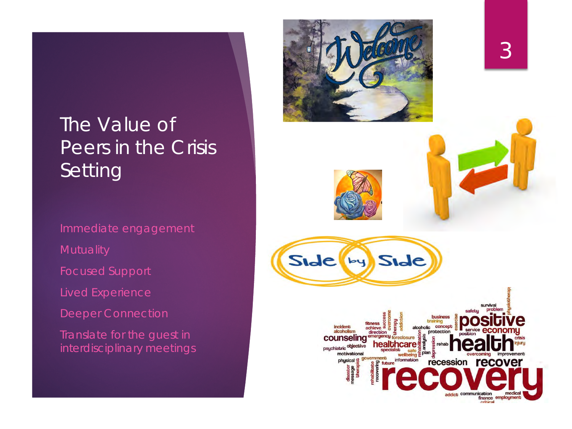### The Value of Peers in the Crisis Setting

Immediate engagement

Lived Experience

Deeper Connection

Translate for the guest in interdisciplinary meetings

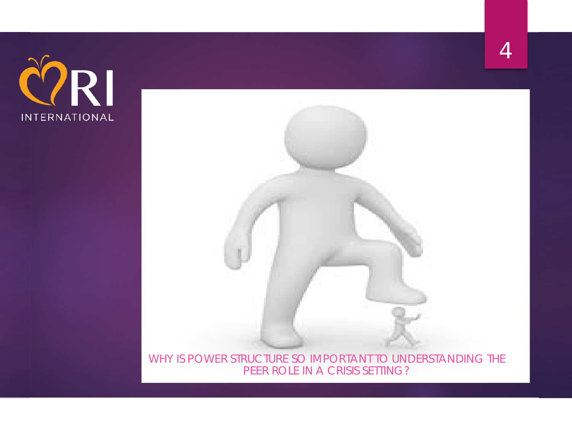



WHY IS POWER STRUCTURE SO IMPORTANT TO UNDERSTANDING THE PEER ROLE IN A CRISIS SETTING?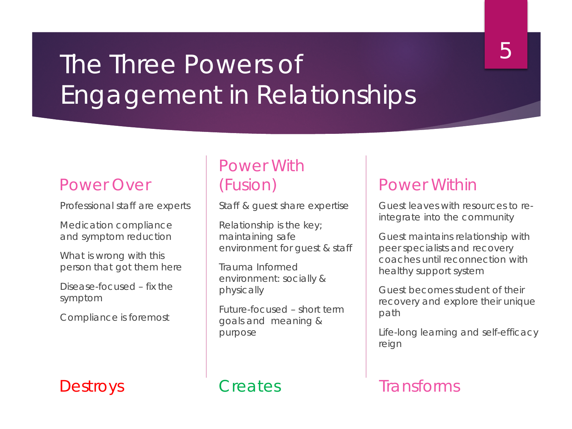### The Three Powers of Engagement in Relationships

#### 5

#### Power Over

Professional staff are experts

Medication compliance and symptom reduction

What is wrong with this person that got them here

Disease-focused – fix the symptom

Compliance is foremost

#### Power With (Fusion)

Staff & guest share expertise

Relationship is the key; maintaining safe environment for guest & staff

Trauma Informed environment: socially & physically

Future-focused – short term goals and meaning & purpose

#### Power Within

Guest leaves with resources to reintegrate into the community

Guest maintains relationship with peer specialists and recovery coaches until reconnection with healthy support system

Guest becomes student of their recovery and explore their unique path

Life-long learning and self-efficacy reign

#### Destroys Creates Transforms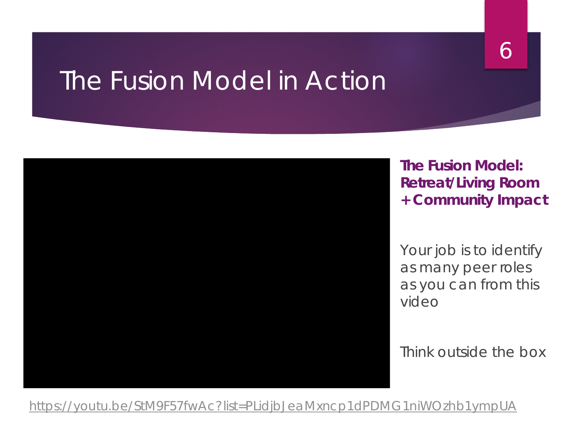### The Fusion Model in Action



**The Fusion Model: Retreat/Living Room + Community Impact**

6

*Your job is to identify as many peer roles as you can from this video*

Think outside the box

<https://youtu.be/StM9F57fwAc?list=PLidjbJeaMxncp1dPDMG1niWOzhb1ympUA>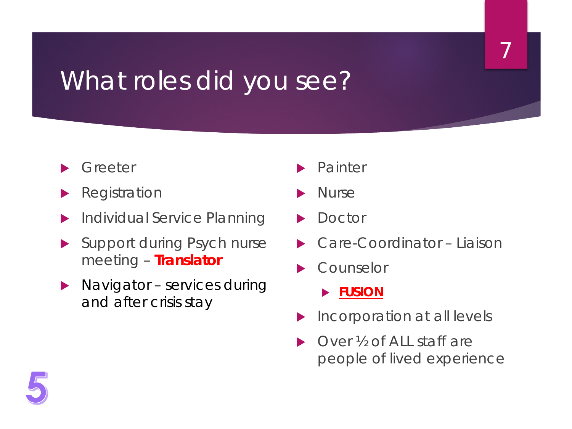### What roles did you see?

- Greeter
- Registration
- Individual Service Planning
- Support during Psych nurse meeting – **Translator**
- Navigator services during and after crisis stay
- Painter
- Nurse
- Doctor
- Care-Coordinator Liaison

7

- Counselor
	- **FUSION**
- Incorporation at all levels
- Over <sup>1</sup>% of ALL staff are people of lived experience

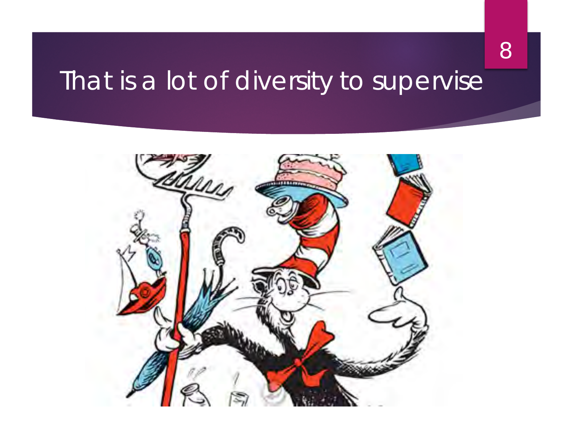### That is a lot of diversity to supervise

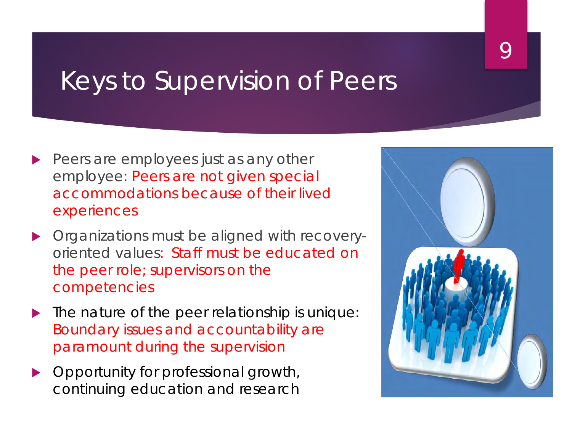### Keys to Supervision of Peers

- Peers are employees just as any other employee: Peers are not given special accommodations because of their lived experiences
- **Organizations must be aligned with recovery**oriented values: Staff must be educated on the peer role; supervisors on the competencies
- $\blacktriangleright$  The nature of the peer relationship is unique: Boundary issues and accountability are paramount during the supervision
- **Deportunity for professional growth,** continuing education and research